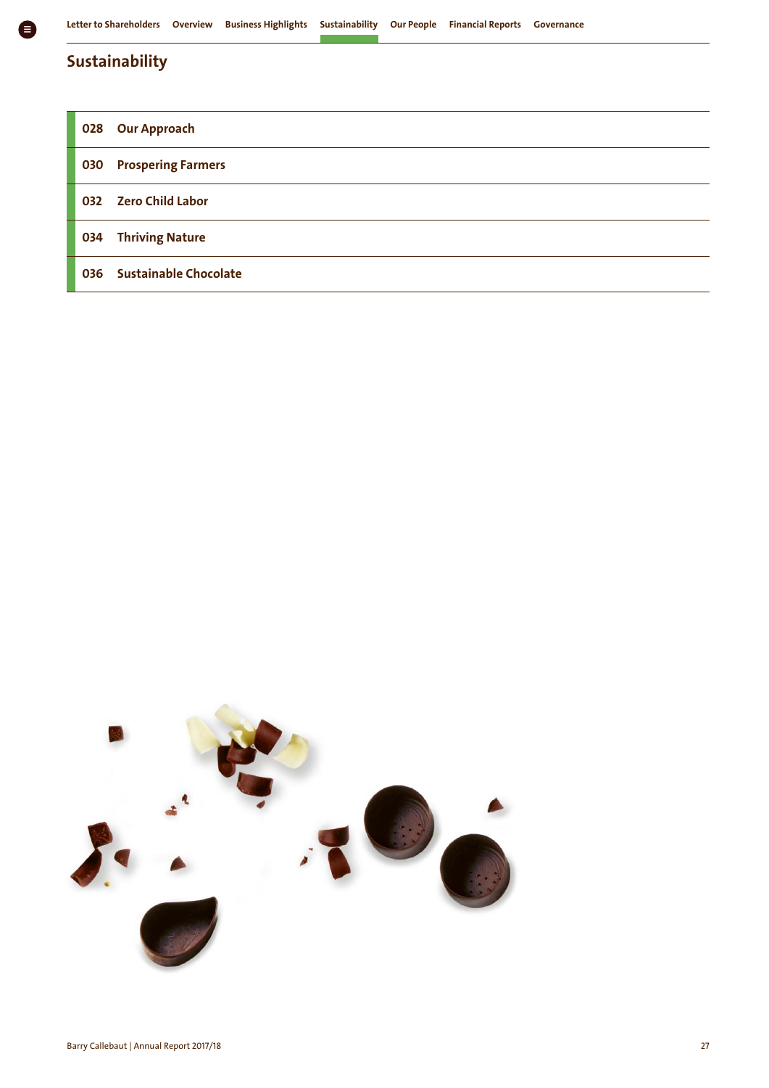## **Sustainability**

| 028 | <b>Our Approach</b>          |
|-----|------------------------------|
| 030 | <b>Prospering Farmers</b>    |
| 032 | <b>Zero Child Labor</b>      |
| 034 | <b>Thriving Nature</b>       |
| 036 | <b>Sustainable Chocolate</b> |

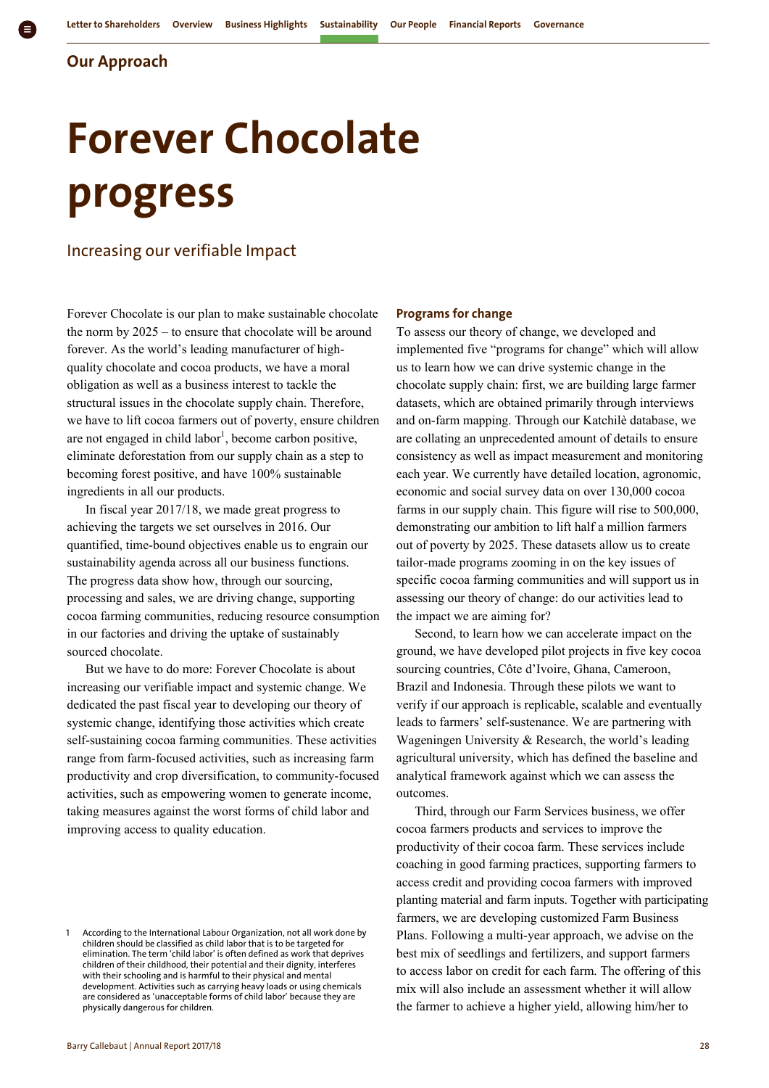**Our Approach** 

# **Forever Chocolate progress**

### Increasing our verifiable Impact

Forever Chocolate is our plan to make sustainable chocolate the norm by 2025 – to ensure that chocolate will be around forever. As the world's leading manufacturer of highquality chocolate and cocoa products, we have a moral obligation as well as a business interest to tackle the structural issues in the chocolate supply chain. Therefore, we have to lift cocoa farmers out of poverty, ensure children are not engaged in child labor<sup>1</sup>, become carbon positive, eliminate deforestation from our supply chain as a step to becoming forest positive, and have 100% sustainable ingredients in all our products.

In fiscal year 2017/18, we made great progress to achieving the targets we set ourselves in 2016. Our quantified, time-bound objectives enable us to engrain our sustainability agenda across all our business functions. The progress data show how, through our sourcing, processing and sales, we are driving change, supporting cocoa farming communities, reducing resource consumption in our factories and driving the uptake of sustainably sourced chocolate.

But we have to do more: Forever Chocolate is about increasing our verifiable impact and systemic change. We dedicated the past fiscal year to developing our theory of systemic change, identifying those activities which create self-sustaining cocoa farming communities. These activities range from farm-focused activities, such as increasing farm productivity and crop diversification, to community-focused activities, such as empowering women to generate income, taking measures against the worst forms of child labor and improving access to quality education.

#### **Programs for change**

To assess our theory of change, we developed and implemented five "programs for change" which will allow us to learn how we can drive systemic change in the chocolate supply chain: first, we are building large farmer datasets, which are obtained primarily through interviews and on-farm mapping. Through our Katchilè database, we are collating an unprecedented amount of details to ensure consistency as well as impact measurement and monitoring each year. We currently have detailed location, agronomic, economic and social survey data on over 130,000 cocoa farms in our supply chain. This figure will rise to 500,000, demonstrating our ambition to lift half a million farmers out of poverty by 2025. These datasets allow us to create tailor-made programs zooming in on the key issues of specific cocoa farming communities and will support us in assessing our theory of change: do our activities lead to the impact we are aiming for?

Second, to learn how we can accelerate impact on the ground, we have developed pilot projects in five key cocoa sourcing countries, Côte d'Ivoire, Ghana, Cameroon, Brazil and Indonesia. Through these pilots we want to verify if our approach is replicable, scalable and eventually leads to farmers' self-sustenance. We are partnering with Wageningen University & Research, the world's leading agricultural university, which has defined the baseline and analytical framework against which we can assess the outcomes.

Third, through our Farm Services business, we offer cocoa farmers products and services to improve the productivity of their cocoa farm. These services include coaching in good farming practices, supporting farmers to access credit and providing cocoa farmers with improved planting material and farm inputs. Together with participating farmers, we are developing customized Farm Business Plans. Following a multi-year approach, we advise on the best mix of seedlings and fertilizers, and support farmers to access labor on credit for each farm. The offering of this mix will also include an assessment whether it will allow the farmer to achieve a higher yield, allowing him/her to

<sup>1</sup> According to the International Labour Organization, not all work done by children should be classified as child labor that is to be targeted for elimination. The term 'child labor' is often defined as work that deprives children of their childhood, their potential and their dignity, interferes with their schooling and is harmful to their physical and mental development. Activities such as carrying heavy loads or using chemicals are considered as 'unacceptable forms of child labor' because they are physically dangerous for children.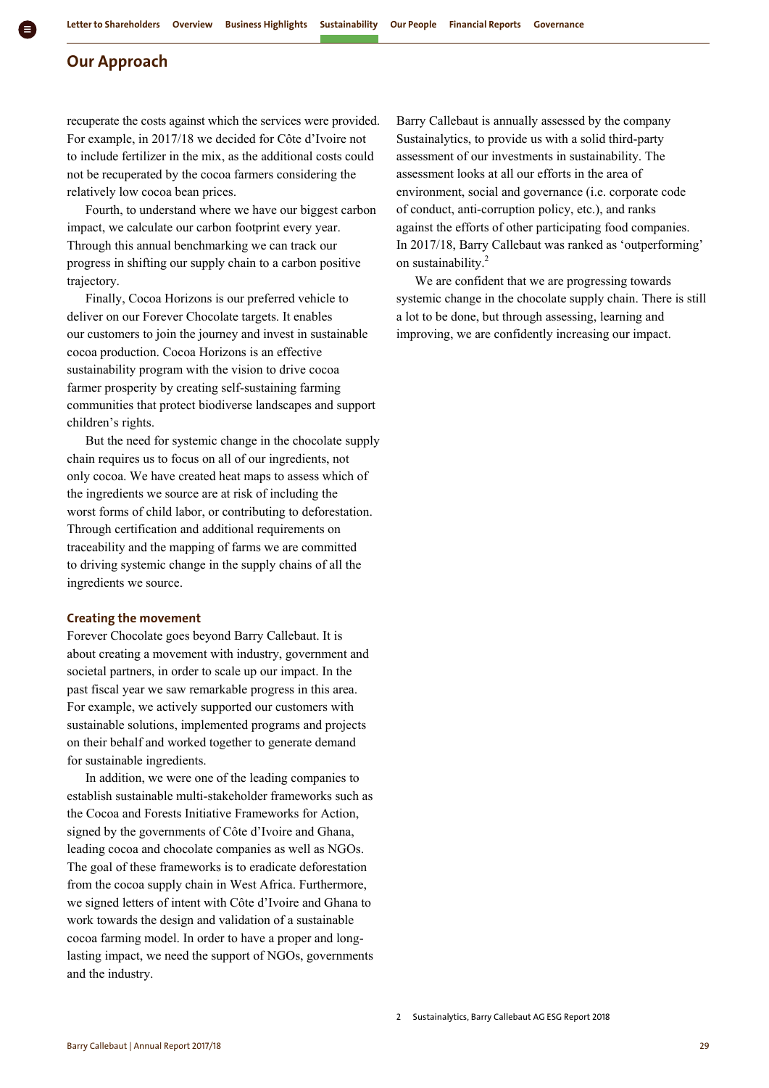#### **Our Approach**

recuperate the costs against which the services were provided. For example, in 2017/18 we decided for Côte d'Ivoire not to include fertilizer in the mix, as the additional costs could not be recuperated by the cocoa farmers considering the relatively low cocoa bean prices.

Fourth, to understand where we have our biggest carbon impact, we calculate our carbon footprint every year. Through this annual benchmarking we can track our progress in shifting our supply chain to a carbon positive trajectory.

Finally, Cocoa Horizons is our preferred vehicle to deliver on our Forever Chocolate targets. It enables our customers to join the journey and invest in sustainable cocoa production. Cocoa Horizons is an effective sustainability program with the vision to drive cocoa farmer prosperity by creating self-sustaining farming communities that protect biodiverse landscapes and support children's rights.

But the need for systemic change in the chocolate supply chain requires us to focus on all of our ingredients, not only cocoa. We have created heat maps to assess which of the ingredients we source are at risk of including the worst forms of child labor, or contributing to deforestation. Through certification and additional requirements on traceability and the mapping of farms we are committed to driving systemic change in the supply chains of all the ingredients we source.

#### **Creating the movement**

Forever Chocolate goes beyond Barry Callebaut. It is about creating a movement with industry, government and societal partners, in order to scale up our impact. In the past fiscal year we saw remarkable progress in this area. For example, we actively supported our customers with sustainable solutions, implemented programs and projects on their behalf and worked together to generate demand for sustainable ingredients.

In addition, we were one of the leading companies to establish sustainable multi-stakeholder frameworks such as the Cocoa and Forests Initiative Frameworks for Action, signed by the governments of Côte d'Ivoire and Ghana, leading cocoa and chocolate companies as well as NGOs. The goal of these frameworks is to eradicate deforestation from the cocoa supply chain in West Africa. Furthermore, we signed letters of intent with Côte d'Ivoire and Ghana to work towards the design and validation of a sustainable cocoa farming model. In order to have a proper and longlasting impact, we need the support of NGOs, governments and the industry.

Barry Callebaut is annually assessed by the company Sustainalytics, to provide us with a solid third-party assessment of our investments in sustainability. The assessment looks at all our efforts in the area of environment, social and governance (i.e. corporate code of conduct, anti-corruption policy, etc.), and ranks against the efforts of other participating food companies. In 2017/18, Barry Callebaut was ranked as 'outperforming' on sustainability.<sup>2</sup>

We are confident that we are progressing towards systemic change in the chocolate supply chain. There is still a lot to be done, but through assessing, learning and improving, we are confidently increasing our impact.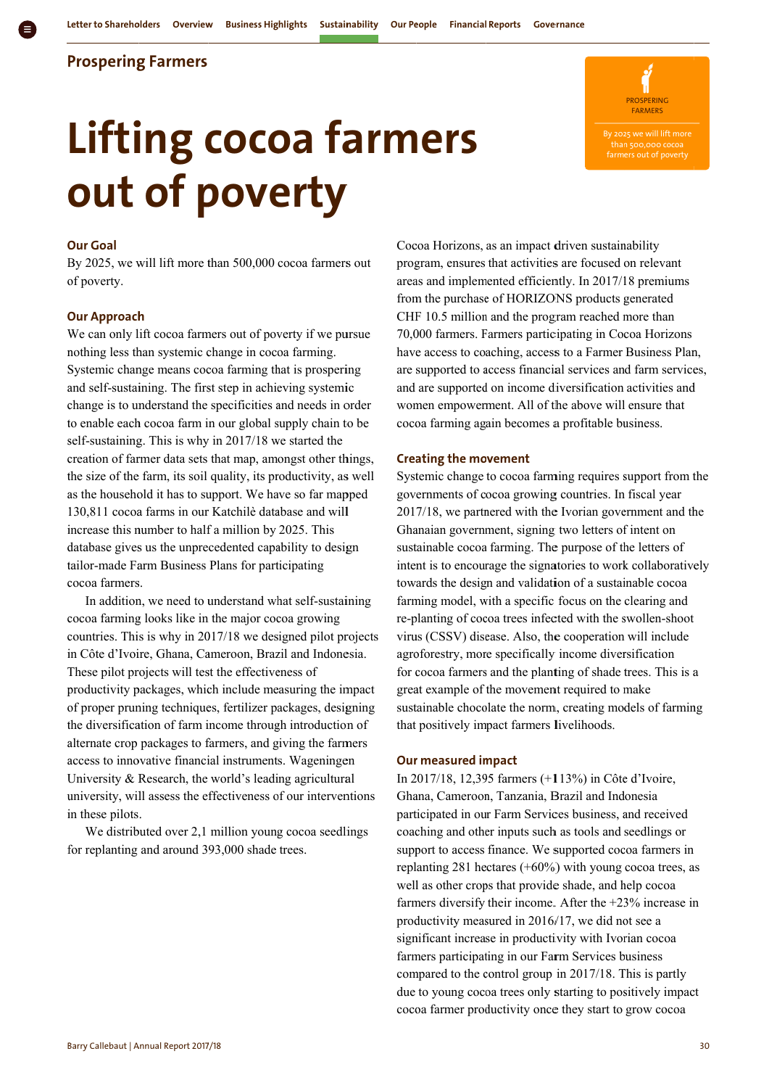### **Prospering Farmers**

# **o out of p pove erty yLifting cocoa farmers**

**PROSPERING** FARMERS

By 202 25 we will lift more than

#### **O Our Goal**

By 2025, we will lift more than 500,000 cocoa farmers out o of poverty.

#### **O Our Approach h**

We can only lift cocoa farmers out of poverty if we pursue nothing less than systemic change in cocoa farming. Systemic change means cocoa farming that is prospering and self-sustaining. The first step in achieving systemic change is to understand the specificities and needs in order to enable each cocoa farm in our global supply chain to be self-sustaining. This is why in 2017/18 we started the creation of farmer data sets that map, amongst other things, the size of the farm, its soil quality, its productivity, as well as the household it has to support. We have so far mapped 130,811 cocoa farms in our Katchilè database and will increase this number to half a million by 2025. This database gives us the unprecedented capability to design tailor-made Farm Business Plans for participating c cocoa farmers s.

cocoa farming looks like in the major cocoa growing countries. This is why in 2017/18 we designed pilot projects in Côte d'Ivoire, Ghana, Cameroon, Brazil and Indonesia. These pilot projects will test the effectiveness of productivity packages, which include measuring the impact of proper pruning techniques, fertilizer packages, designing the diversification of farm income through introduction of alternate crop packages to farmers, and giving the farmers access to innovative financial instruments. Wageningen University & Research, the world's leading agricultural university, will assess the effectiveness of our interventions i in these pilots . In addition, we need to understand what self-sustaining

f for replanting and around 3 93,000 shade trees. We distributed over 2,1 million young cocoa seedlings Cocoa Horizons, as an impact driven sustainability program, ensures that activities are focused on relevant areas and implemented efficiently. In 2017/18 premiums from the purchase of HORIZONS products generated CHF 10.5 million and the program reached more than 70,000 farmers. Farmers participating in Cocoa Horizons have access to coaching, access to a Farmer Business Plan, are supported to access financial services and farm services, and are supported on income diversification activities and women empowerment. All of the above will ensure that coco oa farming ag ain becomes a a profitable bu usiness. and are supported on income diversification activities and<br>
women empowerment. All of the above will ensure that<br>
cocoa farming again becomes a profitable business.<br> **Creating the movement**<br>
Systemic change to cocoa farmin

#### **Creating the movement**

gov ernments of c ocoa growing g countries. In fiscal year 2017/18, we partnered with the Ivorian government and the Ghanaian government, signing two letters of intent on sustainable cocoa farming. The purpose of the letters of intent is to encourage the signatories to work collaboratively towards the design and validation of a sustainable cocoa farming model, with a specific focus on the clearing and re-planting of cocoa trees infected with the swollen-shoot virus (CSSV) disease. Also, the cooperation will include agroforestry, more specifically income diversification for cocoa farmers and the planting of shade trees. This is a great example of the movement required to make sustainable chocolate the norm, creating models of farming that positively impact farmers livelihoods.

#### **Our r measured im mpact**

In 2017/18, 12,395 farmers (+113%) in Côte d'Ivoire, Ghana, Cameroon, Tanzania, Brazil and Indonesia participated in our Farm Services business, and received coaching and other inputs such as tools and seedlings or support to access finance. We supported cocoa farmers in replanting 281 hectares  $(+60%)$  with young cocoa trees, as well as other crops that provide shade, and help cocoa farmers diversify their income. After the +23% increase in productivity measured in 2016/17, we did not see a significant increase in productivity with Ivorian cocoa farmers participating in our Farm Services business compared to the control group in 2017/18. This is partly due to young cocoa trees only starting to positively impac cocoa farmer productivity once they start to grow cocoa in<br>ct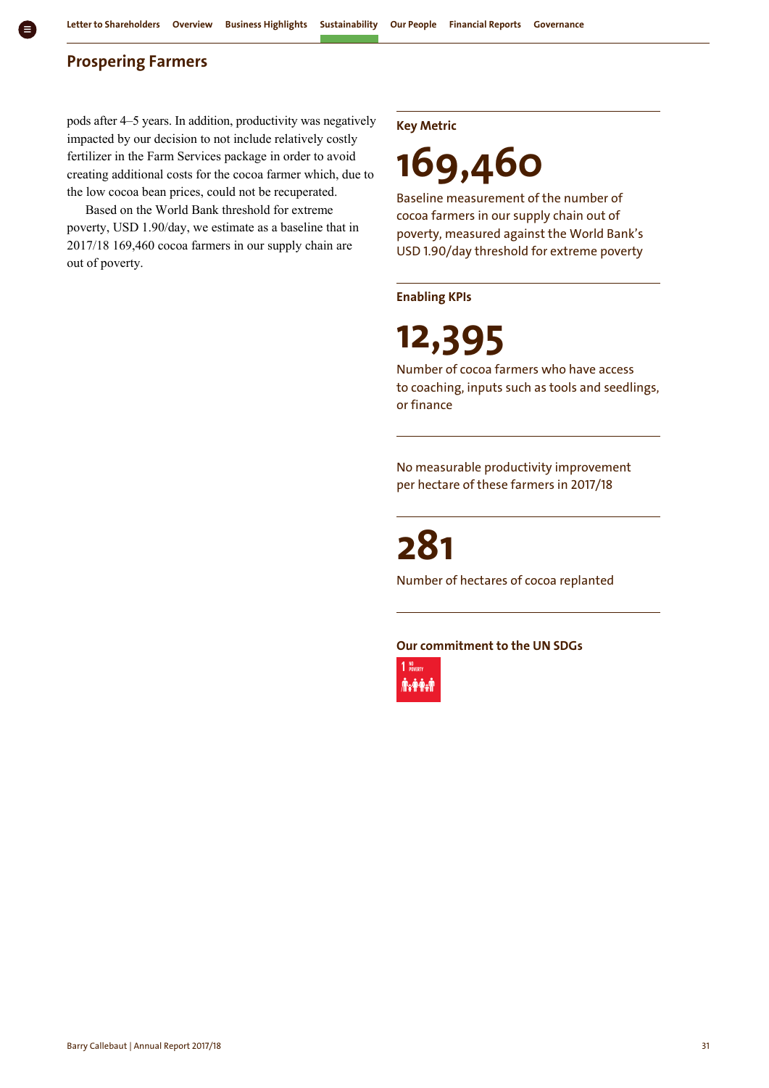#### **Prospering Farmers**

pods after 4–5 years. In addition, productivity was negatively impacted by our decision to not include relatively costly fertilizer in the Farm Services package in order to avoid creating additional costs for the cocoa farmer which, due to the low cocoa bean prices, could not be recuperated.

Based on the World Bank threshold for extreme poverty, USD 1.90/day, we estimate as a baseline that in 2017/18 169,460 cocoa farmers in our supply chain are out of poverty.

**Key Metric** 

# **169,460**

Baseline measurement of the number of cocoa farmers in our supply chain out of poverty, measured against the World Bank's USD 1.90/day threshold for extreme poverty

#### **Enabling KPIs**

## **12,395**

Number of cocoa farmers who have access to coaching, inputs such as tools and seedlings, or finance

No measurable productivity improvement per hectare of these farmers in 2017/18

## **281**

Number of hectares of cocoa replanted

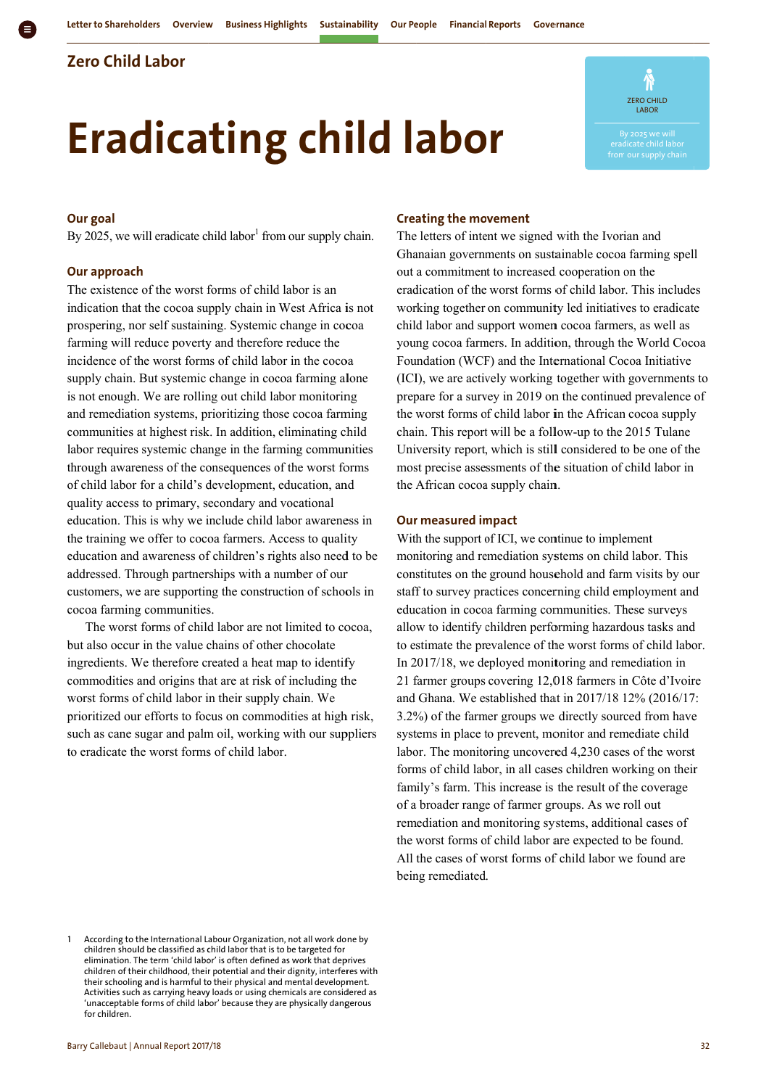## **Z Zero Child d Labor**

# **Eradicating child labor**



#### **O Our goal**

By 2025, we will eradicate child labor<sup>1</sup> from our supply chain.

#### **O Our approach h**

The existence of the worst forms of child labor is an indication that the cocoa supply chain in West Africa is not prospering, nor self sustaining. Systemic change in cocoa farming will reduce poverty and therefore reduce the incidence of the worst forms of child labor in the cocoa supply chain. But systemic change in cocoa farming alone is not enough. We are rolling out child labor monitoring and remediation systems, prioritizing those cocoa farming communities at highest risk. In addition, eliminating child labor requires systemic change in the farming communities through awareness of the consequences of the worst forms of child labor for a child's development, education, and q quality access to primary, s econdary and vocational education. This is why we include child labor awareness in the training we offer to cocoa farmers. Access to quality education and awareness of children's rights also need to be addressed. Through partnerships with a number of our addressed. Through partnerships with a number of our<br>customers, we are supporting the construction of schools in cocoa farming communities.

but also occur in the value chains of other chocolate ingredients. We therefore created a heat map to identify commodities and origins that are at risk of including the worst forms of child labor in their supply chain. We prioritized our efforts to focus on commodities at high risk, such as cane sugar and palm oil, working with our suppliers to eradicate the worst forms of child labor. The worst forms of child labor are not limited to cocoa,

#### **Creating the movement**

The letters of intent we signed with the Ivorian and Ghanaian governments on sustainable cocoa farming spell out a commitment to increased cooperation on the eradication of the worst forms of child labor. This includes working together on community led initiatives to eradicate child labor and support women cocoa farmers, as well as young cocoa farmers. In addition, through the World Cocoa Foundation (WCF) and the International Cocoa Initiative (ICI), we are actively working together with governments to prepare for a survey in 2019 on the continued prevalence of the worst forms of child labor in the African cocoa supply chain. This report will be a follow-up to the 2015 Tulane the worst forms of child labor in the African cocoa supply<br>chain. This report will be a follow-up to the 2015 Tulane<br>University report, which is still considered to be one of the most precise assessments of the situation of child labor in the African cocoa supply chain.

#### **Our measured impact**

With the support of ICI, we continue to implement monitoring and remediation systems on child labor. This constitutes on the ground household and farm visits by our staff to survey practices concerning child employment and education in cocoa farming communities. These surveys staff to survey practices concerning child employment and<br>education in cocoa farming communities. These surveys<br>allow to identify children performing hazardous tasks and to estimate the prevalence of the worst forms of child labor. In 2017/18, we deployed monitoring and remediation in 21 farmer groups covering 12,018 farmers in Côte d'Ivoire and Ghana. We established that in 2017/18 12% (2016/17: 3.2%) of the farmer groups we directly sourced from have systems in place to prevent, monitor and remediate child labor. The monitoring uncovered 4,230 cases of the worst forms of child labor, in all cases children working on their family's farm. This increase is the result of the coverage of a broader range of farmer groups. As we roll out remediation and monitoring systems, additional cases of the worst forms of child labor are expected to be found. All the cases of worst forms of child labor we found are being remediated. e<br>t<br>ir

<sup>1</sup> 1 According to the International Labour Organization, not all work done by children should be classified as child labor that is to be targeted for elimination. The term 'child labor' is often defined as work that deprives children of their childhood, their potential and their dignity, interferes with their schooling and is harmful to their physical and mental development. Activities such as carrying heavy loads or using chemicals are considered as 'unacceptable forms of child lab bor' because they a are physically dang gerous for children.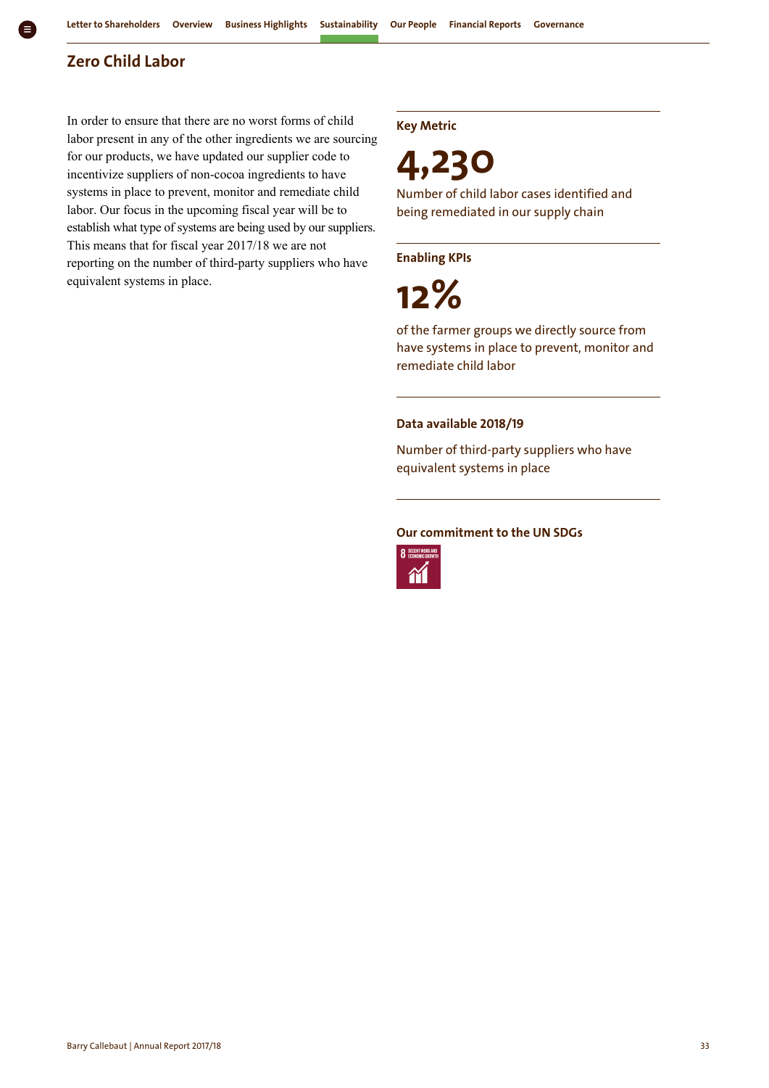### **Zero Child Labor**

In order to ensure that there are no worst forms of child labor present in any of the other ingredients we are sourcing for our products, we have updated our supplier code to incentivize suppliers of non-cocoa ingredients to have systems in place to prevent, monitor and remediate child labor. Our focus in the upcoming fiscal year will be to establish what type of systems are being used by our suppliers. This means that for fiscal year 2017/18 we are not reporting on the number of third-party suppliers who have equivalent systems in place.

**Key Metric** 

**4,230**

Number of child labor cases identified and being remediated in our supply chain

**Enabling KPIs** 

**12%**

of the farmer groups we directly source from have systems in place to prevent, monitor and remediate child labor

#### **Data available 2018/19**

Number of third-party suppliers who have equivalent systems in place

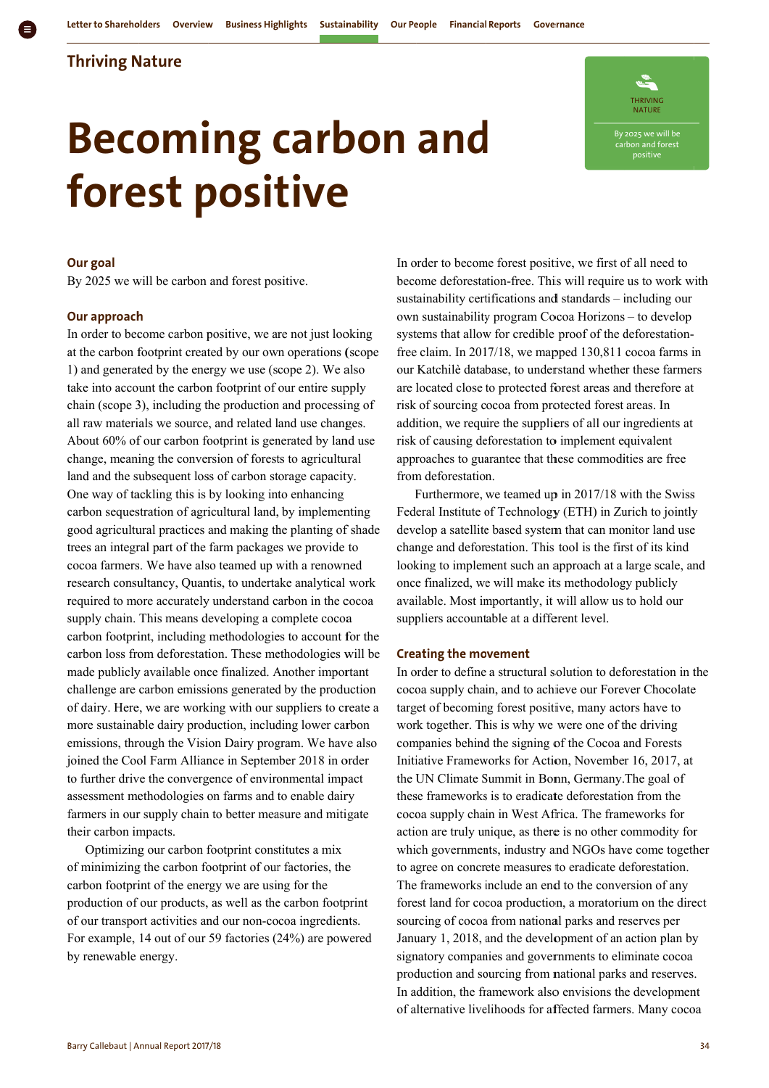### **T Thriving N Nature**

# **forest positive Becoming carbon and**



#### **O Our goal**

By 2025 we will be carbon and forest positive.

#### **O Our approach h**

In order to become carbon positive, we are not just looking at the carbon footprint created by our own operations (scope 1) and generated by the energy we use (scope 2). We also take into account the carbon footprint of our entire supply chain (scope 3), including the production and processing of all raw materials we source, and related land use changes. About 60% of our carbon footprint is generated by land use change, meaning the conversion of forests to agricultural land and the subsequent loss of carbon storage capacity. One way of tackling this is by looking into enhancing carbon sequestration of agricultural land, by implementing good agricultural practices and making the planting of shade trees an integral part of the farm packages we provide to cocoa farmers. We have also teamed up with a renowned research consultancy, Quantis, to undertake analytical work required to more accurately understand carbon in the cocoa supply chain. This means developing a complete cocoa carbon footprint, including methodologies to account for the carbon loss from deforestation. These methodologies will be made publicly available once finalized. Another important challenge are carbon emissions generated by the production of dairy. Here, we are working with our suppliers to create a more sustainable dairy production, including lower carbon emissions, through the Vision Dairy program. We have also joined the Cool Farm Alliance in September 2018 in order to further drive the convergence of environmental impact assessment methodologies on farms and to enable dairy farmers in our supply chain to better measure and mitigate their carbon impacts.

of minimizing the carbon footprint of our factories, the carbon footprint of the energy we are using for the production of our products, as well as the carbon footprint of our transport activities and our non-cocoa ingredients. For example, 14 out of our 59 factories (24%) are powered b by renewable energy. Optimizing our carbon footprint constitutes a mix

In order to become forest positive, we first of all need to become deforestation-free. This will require us to work with sustainability certifications and standards - including our own sustainability program Cocoa Horizons - to develop systems that allow for credible proof of the deforestationfree claim. In 2017/18, we mapped 130,811 cocoa farms in our Katchilè database, to understand whether these farmers are located close to protected forest areas and therefore at risk of sourcing cocoa from protected forest areas. In addition, we require the suppliers of all our ingredients at risk of causing deforestation to implement equivalent approaches to guarantee that these commodities are free from deforestation.

Furthermore, we teamed up in 2017/18 with the Swiss Federal Institute of Technology (ETH) in Zurich to jointly develop a satellite based system that can monitor land use change and deforestation. This tool is the first of its kind Furthermore, we teamed up in 2017/18 with the Swiss<br>Federal Institute of Technology (ETH) in Zurich to jointly<br>develop a satellite based system that can monitor land use<br>change and deforestation. This tool is the first of once finalized, we will make its methodology publicly available. Most importantly, it will allow us to hold our suppliers accountable at a different level.

#### **Creating the movement**

In order to define a structural solution to deforestation in the cocoa supply chain, and to achieve our Forever Chocolate target of becoming forest positive, many actors have to work together. This is why we were one of the driving companies behind the signing of the Cocoa and Forests Initiative Frameworks for Action, November 16, 2017, at the UN Climate Summit in Bonn, Germany. The goal of these frameworks is to eradicate deforestation from the cocoa supply chain in West Africa. The frameworks for action are truly unique, as there is no other commodity for which governments, industry and NGOs have come togeth to agree on concrete measures to eradicate deforestation. The frameworks include an end to the conversion of any forest land for cocoa production, a moratorium on the direct sourcing of cocoa from national parks and reserves per January 1, 2018, and the development of an action plan by signatory companies and governments to eliminate cocoa production and sourcing from national parks and reserves In addition, the framework also envisions the development of alternative livelihoods for affected farmers. Many cocoa e<br>t<br>or<br>ther y<br>,<br>,<br>,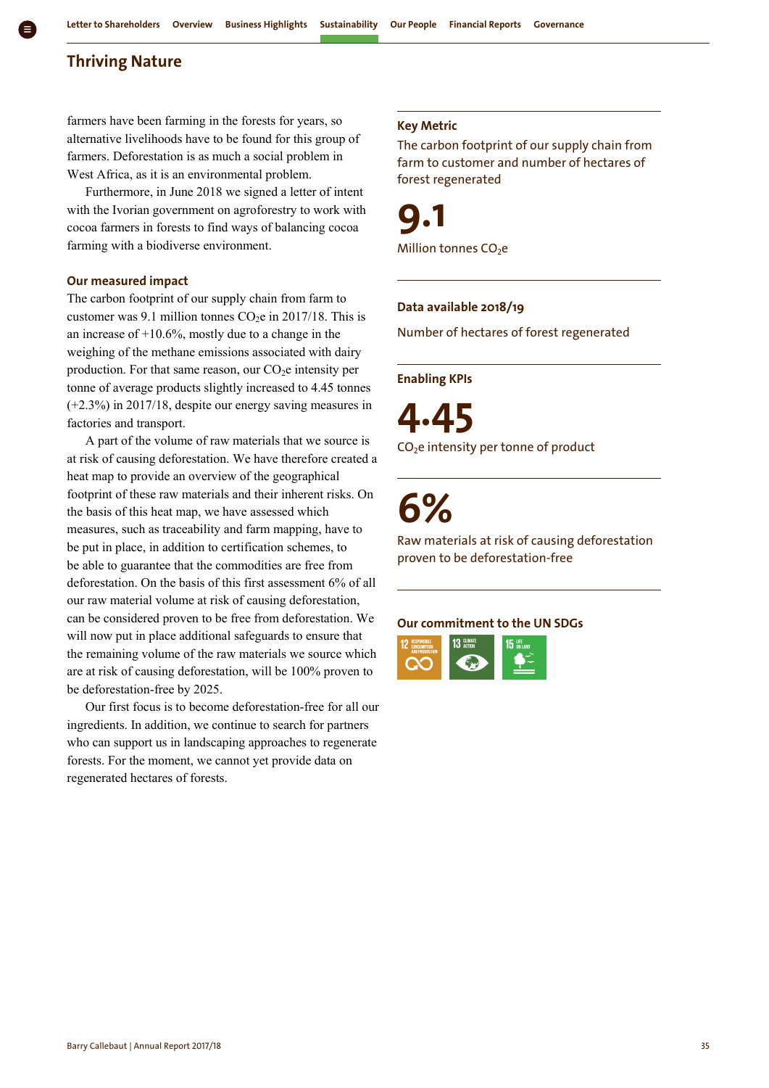#### **Thriving Nature**

farmers have been farming in the forests for years, so alternative livelihoods have to be found for this group of farmers. Deforestation is as much a social problem in West Africa, as it is an environmental problem.

Furthermore, in June 2018 we signed a letter of intent with the Ivorian government on agroforestry to work with cocoa farmers in forests to find ways of balancing cocoa farming with a biodiverse environment.

#### **Our measured impact**

The carbon footprint of our supply chain from farm to customer was 9.1 million tonnes  $CO<sub>2</sub>e$  in 2017/18. This is an increase of  $+10.6\%$ , mostly due to a change in the weighing of the methane emissions associated with dairy production. For that same reason, our  $CO<sub>2</sub>e$  intensity per tonne of average products slightly increased to 4.45 tonnes (+2.3%) in 2017/18, despite our energy saving measures in factories and transport.

A part of the volume of raw materials that we source is at risk of causing deforestation. We have therefore created a heat map to provide an overview of the geographical footprint of these raw materials and their inherent risks. On the basis of this heat map, we have assessed which measures, such as traceability and farm mapping, have to be put in place, in addition to certification schemes, to be able to guarantee that the commodities are free from deforestation. On the basis of this first assessment 6% of all our raw material volume at risk of causing deforestation, can be considered proven to be free from deforestation. We will now put in place additional safeguards to ensure that the remaining volume of the raw materials we source which are at risk of causing deforestation, will be 100% proven to be deforestation-free by 2025.

Our first focus is to become deforestation-free for all our ingredients. In addition, we continue to search for partners who can support us in landscaping approaches to regenerate forests. For the moment, we cannot yet provide data on regenerated hectares of forests.

#### **Key Metric**

The carbon footprint of our supply chain from farm to customer and number of hectares of forest regenerated

**9.1** Million tonnes CO<sub>2</sub>e

#### **Data available 2018/19**

Number of hectares of forest regenerated

#### **Enabling KPIs**

**4.45** CO<sub>2</sub>e intensity per tonne of product

# **6%**

Raw materials at risk of causing deforestation proven to be deforestation-free